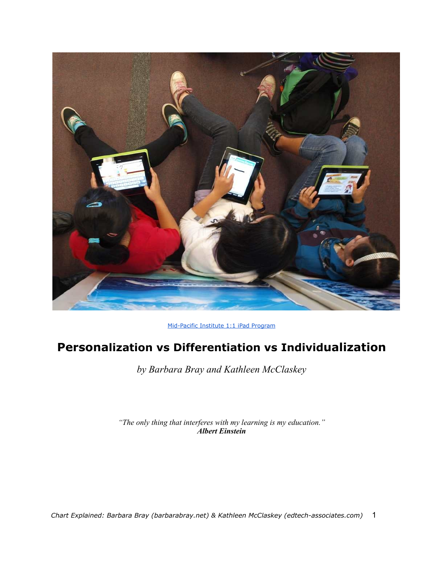

[Mid-Pacific](http://www.midpac.edu/one-to-one/) [Institute 1:1 iPad](http://www.midpac.edu/one-to-one/) [Program](http://www.midpac.edu/one-to-one/)

# **Personalization vs Differentiation vs Individualization**

*by Barbara Bray and Kathleen McClaskey*

*"The only thing that interferes with my learning is my education." Albert Einstein*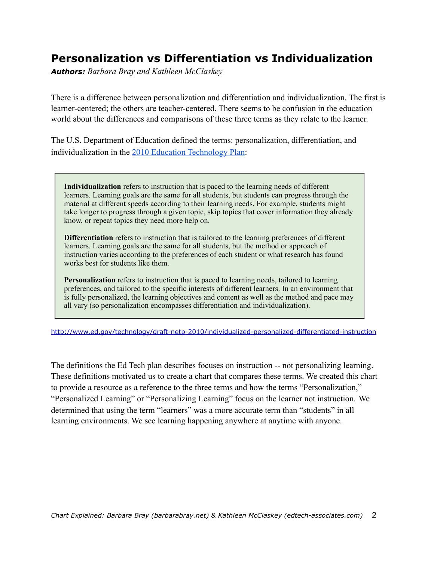## **Personalization vs Differentiation vs Individualization**

*Authors: Barbara Bray and Kathleen McClaskey*

There is a difference between personalization and differentiation and individualization. The first is learner-centered; the others are teacher-centered. There seems to be confusion in the education world about the differences and comparisons of these three terms as they relate to the learner.

The U.S. Department of Education defined the terms: personalization, differentiation, and individualization in the [2010 Education](http://www.ed.gov/technology/draft-netp-2010/individualized-personalized-differentiated-instruction) [Technology](http://www.ed.gov/technology/draft-netp-2010/individualized-personalized-differentiated-instruction) [Plan:](http://www.ed.gov/technology/draft-netp-2010/individualized-personalized-differentiated-instruction)

**Individualization** refers to instruction that is paced to the learning needs of different learners. Learning goals are the same for all students, but students can progress through the material at different speeds according to their learning needs. For example, students might take longer to progress through a given topic, skip topics that cover information they already know, or repeat topics they need more help on.

**Differentiation** refers to instruction that is tailored to the learning preferences of different learners. Learning goals are the same for all students, but the method or approach of instruction varies according to the preferences of each student or what research has found works best for students like them.

**Personalization** refers to instruction that is paced to learning needs, tailored to learning preferences, and tailored to the specific interests of different learners. In an environment that is fully personalized, the learning objectives and content as well as the method and pace may all vary (so personalization encompasses differentiation and individualization).

<http://www.ed.gov/technology/draft-netp-2010/individualized-personalized-differentiated-instruction>

The definitions the Ed Tech plan describes focuses on instruction -- not personalizing learning. These definitions motivated us to create a chart that compares these terms. We created this chart to provide a resource as a reference to the three terms and how the terms "Personalization," "Personalized Learning" or "Personalizing Learning" focus on the learner not instruction. We determined that using the term "learners" was a more accurate term than "students" in all learning environments. We see learning happening anywhere at anytime with anyone.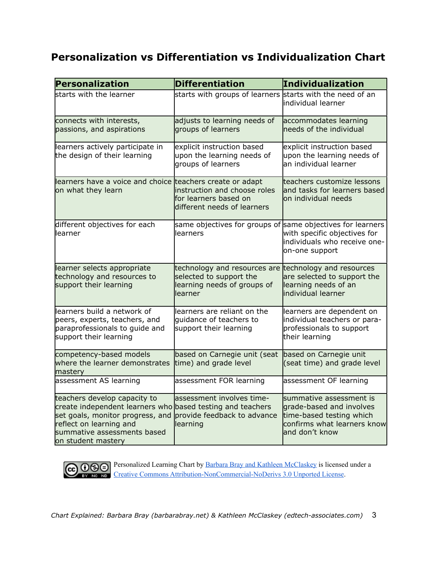### **Personalization vs Differentiation vs Individualization Chart**

| Personalization                                                                                                                                                                                                | <b>Differentiation</b>                                                                            | Individualization                                                                                                                |
|----------------------------------------------------------------------------------------------------------------------------------------------------------------------------------------------------------------|---------------------------------------------------------------------------------------------------|----------------------------------------------------------------------------------------------------------------------------------|
| starts with the learner                                                                                                                                                                                        | starts with groups of learners starts with the need of an                                         | lindividual learner                                                                                                              |
| connects with interests,<br>passions, and aspirations                                                                                                                                                          | adjusts to learning needs of<br>groups of learners                                                | accommodates learning<br>needs of the individual                                                                                 |
| learners actively participate in<br>the design of their learning                                                                                                                                               | explicit instruction based<br>upon the learning needs of<br>groups of learners                    | explicit instruction based<br>upon the learning needs of<br>an individual learner                                                |
| learners have a voice and choice teachers create or adapt<br>on what they learn                                                                                                                                | instruction and choose roles<br>for learners based on<br>different needs of learners              | teachers customize lessons<br>and tasks for learners based<br>lon individual needs                                               |
| different objectives for each<br>learner                                                                                                                                                                       | same objectives for groups of same objectives for learners<br>learners                            | with specific objectives for<br>individuals who receive one-<br>on-one support                                                   |
| learner selects appropriate<br>technology and resources to<br>support their learning                                                                                                                           | technology and resources are<br>selected to support the<br>learning needs of groups of<br>learner | technology and resources<br>are selected to support the<br>learning needs of an<br>individual learner                            |
| learners build a network of<br>peers, experts, teachers, and<br>paraprofessionals to guide and<br>support their learning                                                                                       | learners are reliant on the<br>quidance of teachers to<br>support their learning                  | learners are dependent on<br>individual teachers or para-<br>professionals to support<br>their learning                          |
| competency-based models<br>where the learner demonstrates<br>mastery                                                                                                                                           | based on Carnegie unit (seat<br>time) and grade level                                             | based on Carnegie unit<br>(seat time) and grade level                                                                            |
| assessment AS learning                                                                                                                                                                                         | assessment FOR learning                                                                           | assessment OF learning                                                                                                           |
| teachers develop capacity to<br>create independent learners who based testing and teachers<br>set goals, monitor progress, and<br>reflect on learning and<br>summative assessments based<br>on student mastery | assessment involves time-<br>provide feedback to advance<br>learning                              | summative assessment is<br>grade-based and involves<br>time-based testing which<br>confirms what learners know<br>and don't know |



Personalized Learning Chart b[y](https://sites.google.com/site/personalizedlearningtoolkits/) **[Barbara](https://sites.google.com/site/personalizedlearningtoolkits/) [Bray](https://sites.google.com/site/personalizedlearningtoolkits/) [and](https://sites.google.com/site/personalizedlearningtoolkits/) [Kathleen](https://sites.google.com/site/personalizedlearningtoolkits/) [McClaskey](https://sites.google.com/site/personalizedlearningtoolkits/)** is licensed under a [Creative](http://creativecommons.org/licenses/by-nc-nd/3.0/) [Commons](http://creativecommons.org/licenses/by-nc-nd/3.0/) [Attribution-NonCommercial-NoDerivs 3.0 Unported](http://creativecommons.org/licenses/by-nc-nd/3.0/) [License](http://creativecommons.org/licenses/by-nc-nd/3.0/).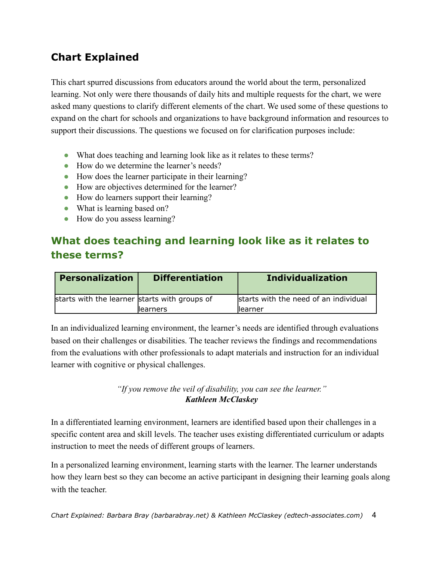# **Chart Explained**

This chart spurred discussions from educators around the world about the term, personalized learning. Not only were there thousands of daily hits and multiple requests for the chart, we were asked many questions to clarify different elements of the chart. We used some of these questions to expand on the chart for schools and organizations to have background information and resources to support their discussions. The questions we focused on for clarification purposes include:

- ! What does teaching and learning look like as it relates to these terms?
- ! How do we determine the learner's needs?
- ! How does the learner participate in their learning?
- ! How are objectives determined for the learner?
- ! How do learners support their learning?
- What is learning based on?
- How do you assess learning?

# **What does teaching and learning look like as it relates to these terms?**

| Personalization                               | <b>Differentiation</b> | <b>Individualization</b>              |
|-----------------------------------------------|------------------------|---------------------------------------|
| starts with the learner starts with groups of |                        | starts with the need of an individual |
|                                               | <b>llearners</b>       | llearner                              |

In an individualized learning environment, the learner's needs are identified through evaluations based on their challenges or disabilities. The teacher reviews the findings and recommendations from the evaluations with other professionals to adapt materials and instruction for an individual learner with cognitive or physical challenges.

#### *"If you remove the veil of disability, you can see the learner." Kathleen McClaskey*

In a differentiated learning environment, learners are identified based upon their challenges in a specific content area and skill levels. The teacher uses existing differentiated curriculum or adapts instruction to meet the needs of different groups of learners.

In a personalized learning environment, learning starts with the learner. The learner understands how they learn best so they can become an active participant in designing their learning goals along with the teacher.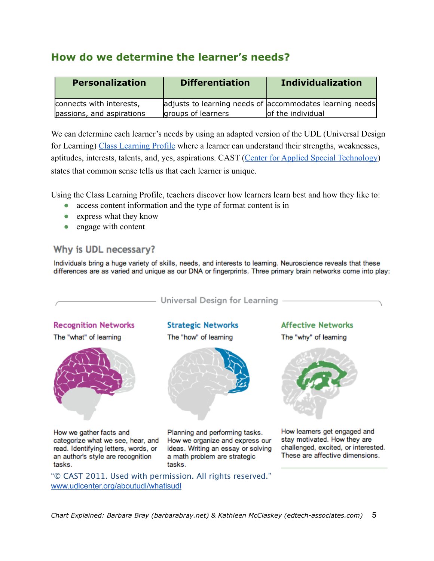## **How do we determine the learner's needs?**

| <b>Personalization</b>    | <b>Differentiation</b> | <b>Individualization</b>                                 |
|---------------------------|------------------------|----------------------------------------------------------|
| connects with interests,  |                        | adjusts to learning needs of accommodates learning needs |
| passions, and aspirations | groups of learners     | of the individual                                        |

We can determine each learner's needs by using an adapted version of the UDL (Universal Design for Learning) [Class](http://www.cast.org/teachingeverystudent/tools/classprofile.cfm) [Learning](http://www.cast.org/teachingeverystudent/tools/classprofile.cfm) [Profile](http://www.cast.org/teachingeverystudent/tools/classprofile.cfm) where a learner can understand their strengths, weaknesses, aptitudes, interests, talents, and, yes, aspirations. CAST [\(Center](http://www.cast.org) [for](http://www.cast.org) [Applied](http://www.cast.org) [Special](http://www.cast.org) [Technology\)](http://www.cast.org) states that common sense tells us that each learner is unique.

Using the Class Learning Profile, teachers discover how learners learn best and how they like to:

- ! access content information and the type of format content is in
- express what they know
- engage with content

### Why is UDL necessary?

Individuals bring a huge variety of skills, needs, and interests to learning. Neuroscience reveals that these differences are as varied and unique as our DNA or fingerprints. Three primary brain networks come into play:

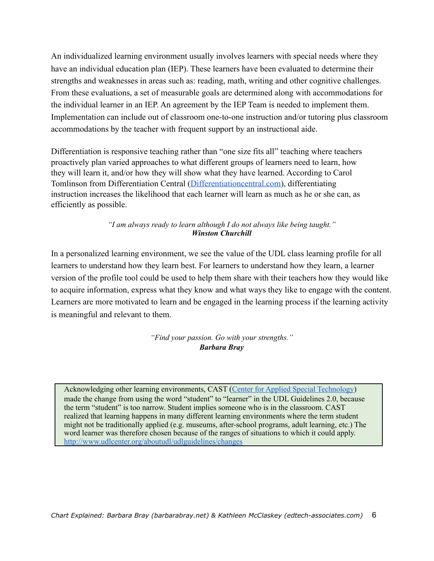An individualized learning environment usually involves learners with special needs where they have an individual education plan (IEP). These learners have been evaluated to determine their strengths and weaknesses in areas such as: reading, math, writing and other cognitive challenges. From these evaluations, a set of measurable goals are determined along with accommodations for the individual learner in an IEP. An agreement by the IEP Team is needed to implement them. Implementation can include out of classroom one-to-one instruction and/or tutoring plus classroom accommodations by the teacher with frequent support by an instructional aide.

Differentiation is responsive teaching rather than "one size fits all" teaching where teachers proactively plan varied approaches to what different groups of learners need to learn, how they will learn it, and/or how they will show what they have learned. According to Carol Tomlinson from Differentiation Central ([Differentiationcentral.com](http://differentiationcentral.com/whatisdi.html)), differentiating instruction increases the likelihood that each learner will learn as much as he or she can, as efficiently as possible.

> *"I am always ready to learn although I do not always like being taught." Winston Churchill*

In a personalized learning environment, we see the value of the UDL class learning profile for all learners to understand how they learn best. For learners to understand how they learn, a learner version of the profile tool could be used to help them share with their teachers how they would like to acquire information, express what they know and what ways they like to engage with the content. Learners are more motivated to learn and be engaged in the learning process if the learning activity is meaningful and relevant to them.

> *"Find your passion. Go with your strengths." Barbara Bray*

Acknowledging other learning environments, CAST ([Center](http://www.cast.org) [for](http://www.cast.org) [Applied](http://www.cast.org) [Special](http://www.cast.org) [Technology\)](http://www.cast.org) made the change from using the word "student" to "learner" in the UDL Guidelines 2.0, because the term "student" is too narrow. Student implies someone who is in the classroom. CAST realized that learning happens in many different learning environments where the term student might not be traditionally applied (e.g. museums, after-school programs, adult learning, etc.) The word learner was therefore chosen because of the ranges of situations to which it could apply. <http://www.udlcenter.org/aboutudl/udlguidelines/changes>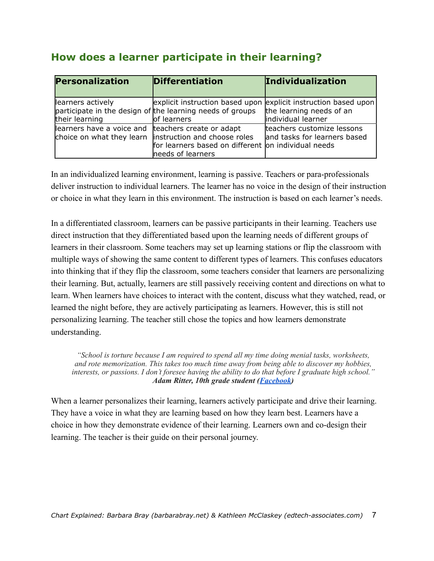| Personalization                                    | Differentiation                                                                                                                             | Individualization                                          |
|----------------------------------------------------|---------------------------------------------------------------------------------------------------------------------------------------------|------------------------------------------------------------|
| learners actively<br>their learning                | explicit instruction based upon explicit instruction based upon<br>participate in the design of the learning needs of groups<br>of learners | the learning needs of an<br>individual learner             |
| learners have a voice and teachers create or adapt | choice on what they learn linstruction and choose roles<br>for learners based on different on individual needs<br>needs of learners         | teachers customize lessons<br>and tasks for learners based |

### **How does a learner participate in their learning?**

In an individualized learning environment, learning is passive. Teachers or para-professionals deliver instruction to individual learners. The learner has no voice in the design of their instruction or choice in what they learn in this environment. The instruction is based on each learner's needs.

In a differentiated classroom, learners can be passive participants in their learning. Teachers use direct instruction that they differentiated based upon the learning needs of different groups of learners in their classroom. Some teachers may set up learning stations or flip the classroom with multiple ways of showing the same content to different types of learners. This confuses educators into thinking that if they flip the classroom, some teachers consider that learners are personalizing their learning. But, actually, learners are still passively receiving content and directions on what to learn. When learners have choices to interact with the content, discuss what they watched, read, or learned the night before, they are actively participating as learners. However, this is still not personalizing learning. The teacher still chose the topics and how learners demonstrate understanding.

*"School is torture because I am required to spend all my time doing menial tasks, worksheets, and rote memorization. This takes too much time away from being able to discover my hobbies, interests, or passions. I don't foresee having the ability to do that before I graduate high school." Adam Ritter, 10th grade student [\(Facebook\)](https://www.facebook.com/profile.php?id=1289509058)*

When a learner personalizes their learning, learners actively participate and drive their learning. They have a voice in what they are learning based on how they learn best. Learners have a choice in how they demonstrate evidence of their learning. Learners own and co-design their learning. The teacher is their guide on their personal journey.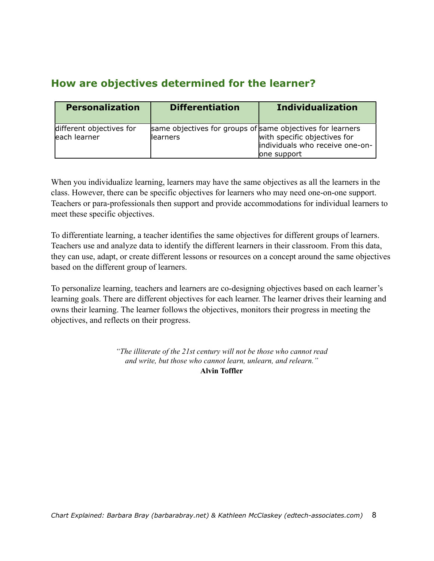## **How are objectives determined for the learner?**

| <b>Personalization</b>                   | <b>Differentiation</b>                                                  | <b>Individualization</b>                                                        |
|------------------------------------------|-------------------------------------------------------------------------|---------------------------------------------------------------------------------|
| different objectives for<br>each learner | same objectives for groups of same objectives for learners<br>llearners | with specific objectives for<br>individuals who receive one-on-<br>lone support |

When you individualize learning, learners may have the same objectives as all the learners in the class. However, there can be specific objectives for learners who may need one-on-one support. Teachers or para-professionals then support and provide accommodations for individual learners to meet these specific objectives.

To differentiate learning, a teacher identifies the same objectives for different groups of learners. Teachers use and analyze data to identify the different learners in their classroom. From this data, they can use, adapt, or create different lessons or resources on a concept around the same objectives based on the different group of learners.

To personalize learning, teachers and learners are co-designing objectives based on each learner's learning goals. There are different objectives for each learner. The learner drives their learning and owns their learning. The learner follows the objectives, monitors their progress in meeting the objectives, and reflects on their progress.

> *"The illiterate of the 21st century will not be those who cannot read and write, but those who cannot learn, unlearn, and relearn."* **Alvin Toffler**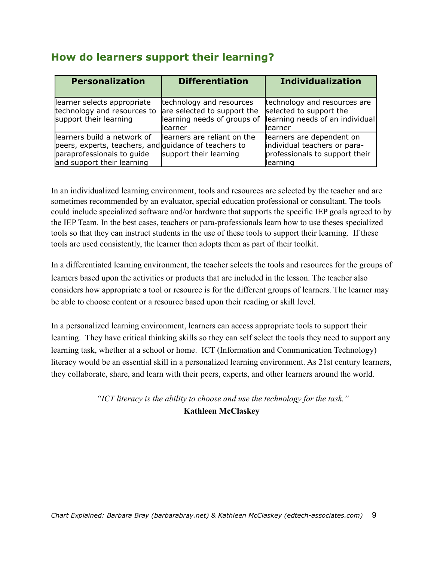### **How do learners support their learning?**

| <b>Personalization</b>                                                                                                                           | <b>Differentiation</b>                                                                             | <b>Individualization</b>                                                                                |
|--------------------------------------------------------------------------------------------------------------------------------------------------|----------------------------------------------------------------------------------------------------|---------------------------------------------------------------------------------------------------------|
| learner selects appropriate<br>technology and resources to<br>support their learning                                                             | technology and resources<br>are selected to support the<br>learning needs of groups of<br>llearner | technology and resources are<br>selected to support the<br>learning needs of an individual<br>llearner  |
| learners build a network of<br>peers, experts, teachers, and guidance of teachers to<br>paraprofessionals to guide<br>and support their learning | learners are reliant on the<br>support their learning                                              | learners are dependent on<br>individual teachers or para-<br>professionals to support their<br>learning |

In an individualized learning environment, tools and resources are selected by the teacher and are sometimes recommended by an evaluator, special education professional or consultant. The tools could include specialized software and/or hardware that supports the specific IEP goals agreed to by the IEP Team. In the best cases, teachers or para-professionals learn how to use theses specialized tools so that they can instruct students in the use of these tools to support their learning. If these tools are used consistently, the learner then adopts them as part of their toolkit.

In a differentiated learning environment, the teacher selects the tools and resources for the groups of learners based upon the activities or products that are included in the lesson. The teacher also considers how appropriate a tool or resource is for the different groups of learners. The learner may be able to choose content or a resource based upon their reading or skill level.

In a personalized learning environment, learners can access appropriate tools to support their learning. They have critical thinking skills so they can self select the tools they need to support any learning task, whether at a school or home. ICT (Information and Communication Technology) literacy would be an essential skill in a personalized learning environment. As 21st century learners, they collaborate, share, and learn with their peers, experts, and other learners around the world.

> *"ICT literacy is the ability to choose and use the technology for the task."*  **Kathleen McClaskey**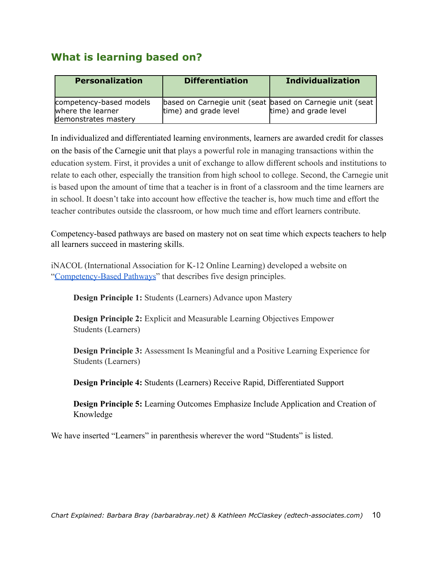## **What is learning based on?**

| <b>Personalization</b>                                               | <b>Differentiation</b>                                                             | <b>Individualization</b> |
|----------------------------------------------------------------------|------------------------------------------------------------------------------------|--------------------------|
| competency-based models<br>where the learner<br>demonstrates mastery | based on Carnegie unit (seat based on Carnegie unit (seat<br>time) and grade level | time) and grade level    |

In individualized and differentiated learning environments, learners are awarded credit for classes on the basis of the Carnegie unit that plays a powerful role in managing transactions within the education system. First, it provides a unit of exchange to allow different schools and institutions to relate to each other, especially the transition from high school to college. Second, the Carnegie unit is based upon the amount of time that a teacher is in front of a classroom and the time learners are in school. It doesn't take into account how effective the teacher is, how much time and effort the teacher contributes outside the classroom, or how much time and effort learners contribute.

Competency-based pathways are based on mastery not on seat time which expects teachers to help all learners succeed in mastering skills.

iNACOL (International Association for K-12 Online Learning) developed a website on ["Competency-Based](https://sites.google.com/site/competencybasedpathways/home) [Pathways](https://sites.google.com/site/competencybasedpathways/home)" that describes five design principles.

**Design Principle 1:** Students (Learners) Advance upon Mastery

**Design Principle 2:** Explicit and Measurable Learning Objectives Empower Students (Learners)

**Design Principle 3:** Assessment Is Meaningful and a Positive Learning Experience for Students (Learners)

**Design Principle 4:** Students (Learners) Receive Rapid, Differentiated Support

**Design Principle 5:** Learning Outcomes Emphasize Include Application and Creation of Knowledge

We have inserted "Learners" in parenthesis wherever the word "Students" is listed.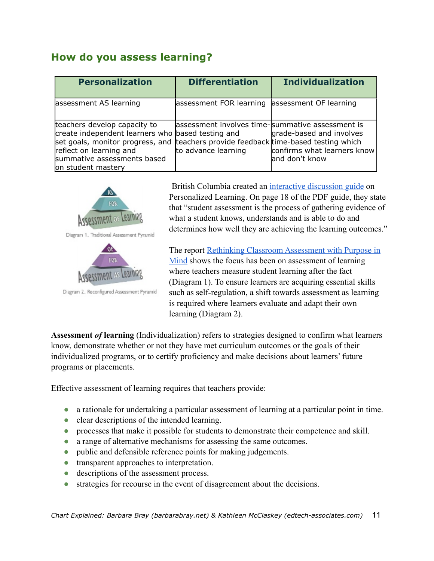### **How do you assess learning?**

| <b>Personalization</b>                                                                                                                                                                                                                                   | <b>Differentiation</b>                                                   | <b>Individualization</b>                                                  |
|----------------------------------------------------------------------------------------------------------------------------------------------------------------------------------------------------------------------------------------------------------|--------------------------------------------------------------------------|---------------------------------------------------------------------------|
| assessment AS learning                                                                                                                                                                                                                                   | assessment FOR learning                                                  | assessment OF learning                                                    |
| teachers develop capacity to<br>create independent learners who based testing and<br>set goals, monitor progress, and teachers provide feedback time-based testing which<br>reflect on learning and<br>summative assessments based<br>on student mastery | lassessment involves time-summative assessment is<br>to advance learning | grade-based and involves<br>confirms what learners know<br>and don't know |



British Columbia created an [interactive](http://www.personalizedlearningbc.ca/#/22-23) [discussion](http://www.personalizedlearningbc.ca/#/22-23) [guide](http://www.personalizedlearningbc.ca/#/22-23) on Personalized Learning. On page 18 of the PDF guide, they state that "student assessment is the process of gathering evidence of what a student knows, understands and is able to do and determines how well they are achieving the learning outcomes."

The report [Rethinking](https://docs.google.com/viewer?a=v&q=cache:QL78tHI63OIJ:www.edu.gov.mb.ca/k12/assess/wncp/rethinking_assess_mb.pdf+&hl=en&gl=us&pid=bl&srcid=ADGEEShXJozyR9OaqN2lwX4PN3IfipvM1N5-i-x-7_6UzcAHggnSEjYi0dilDCorXQbCnDsF9CrdCnpE1BceAyUn2Y3xD3c0bcSyAHJxztINJ2TTlF2eT_9fFzvAO3VUyoYfMYusSNRy&sig=AHIEtbT_d9X9JZLXd324-Qigk64twWzNiw) [Classroom](https://docs.google.com/viewer?a=v&q=cache:QL78tHI63OIJ:www.edu.gov.mb.ca/k12/assess/wncp/rethinking_assess_mb.pdf+&hl=en&gl=us&pid=bl&srcid=ADGEEShXJozyR9OaqN2lwX4PN3IfipvM1N5-i-x-7_6UzcAHggnSEjYi0dilDCorXQbCnDsF9CrdCnpE1BceAyUn2Y3xD3c0bcSyAHJxztINJ2TTlF2eT_9fFzvAO3VUyoYfMYusSNRy&sig=AHIEtbT_d9X9JZLXd324-Qigk64twWzNiw) [Assessment](https://docs.google.com/viewer?a=v&q=cache:QL78tHI63OIJ:www.edu.gov.mb.ca/k12/assess/wncp/rethinking_assess_mb.pdf+&hl=en&gl=us&pid=bl&srcid=ADGEEShXJozyR9OaqN2lwX4PN3IfipvM1N5-i-x-7_6UzcAHggnSEjYi0dilDCorXQbCnDsF9CrdCnpE1BceAyUn2Y3xD3c0bcSyAHJxztINJ2TTlF2eT_9fFzvAO3VUyoYfMYusSNRy&sig=AHIEtbT_d9X9JZLXd324-Qigk64twWzNiw) [with](https://docs.google.com/viewer?a=v&q=cache:QL78tHI63OIJ:www.edu.gov.mb.ca/k12/assess/wncp/rethinking_assess_mb.pdf+&hl=en&gl=us&pid=bl&srcid=ADGEEShXJozyR9OaqN2lwX4PN3IfipvM1N5-i-x-7_6UzcAHggnSEjYi0dilDCorXQbCnDsF9CrdCnpE1BceAyUn2Y3xD3c0bcSyAHJxztINJ2TTlF2eT_9fFzvAO3VUyoYfMYusSNRy&sig=AHIEtbT_d9X9JZLXd324-Qigk64twWzNiw) [Purpose](https://docs.google.com/viewer?a=v&q=cache:QL78tHI63OIJ:www.edu.gov.mb.ca/k12/assess/wncp/rethinking_assess_mb.pdf+&hl=en&gl=us&pid=bl&srcid=ADGEEShXJozyR9OaqN2lwX4PN3IfipvM1N5-i-x-7_6UzcAHggnSEjYi0dilDCorXQbCnDsF9CrdCnpE1BceAyUn2Y3xD3c0bcSyAHJxztINJ2TTlF2eT_9fFzvAO3VUyoYfMYusSNRy&sig=AHIEtbT_d9X9JZLXd324-Qigk64twWzNiw) [in](https://docs.google.com/viewer?a=v&q=cache:QL78tHI63OIJ:www.edu.gov.mb.ca/k12/assess/wncp/rethinking_assess_mb.pdf+&hl=en&gl=us&pid=bl&srcid=ADGEEShXJozyR9OaqN2lwX4PN3IfipvM1N5-i-x-7_6UzcAHggnSEjYi0dilDCorXQbCnDsF9CrdCnpE1BceAyUn2Y3xD3c0bcSyAHJxztINJ2TTlF2eT_9fFzvAO3VUyoYfMYusSNRy&sig=AHIEtbT_d9X9JZLXd324-Qigk64twWzNiw) [Mind](https://docs.google.com/viewer?a=v&q=cache:QL78tHI63OIJ:www.edu.gov.mb.ca/k12/assess/wncp/rethinking_assess_mb.pdf+&hl=en&gl=us&pid=bl&srcid=ADGEEShXJozyR9OaqN2lwX4PN3IfipvM1N5-i-x-7_6UzcAHggnSEjYi0dilDCorXQbCnDsF9CrdCnpE1BceAyUn2Y3xD3c0bcSyAHJxztINJ2TTlF2eT_9fFzvAO3VUyoYfMYusSNRy&sig=AHIEtbT_d9X9JZLXd324-Qigk64twWzNiw) shows the focus has been on assessment of learning where teachers measure student learning after the fact (Diagram 1). To ensure learners are acquiring essential skills such as self-regulation, a shift towards assessment as learning is required where learners evaluate and adapt their own learning (Diagram 2).

**Assessment** *of* **learning** (Individualization) refers to strategies designed to confirm what learners know, demonstrate whether or not they have met curriculum outcomes or the goals of their individualized programs, or to certify proficiency and make decisions about learners' future programs or placements.

Effective assessment of learning requires that teachers provide:

- ! a rationale for undertaking a particular assessment of learning at a particular point in time.
- clear descriptions of the intended learning.
- processes that make it possible for students to demonstrate their competence and skill.
- a range of alternative mechanisms for assessing the same outcomes.
- public and defensible reference points for making judgements.
- transparent approaches to interpretation.
- descriptions of the assessment process.
- strategies for recourse in the event of disagreement about the decisions.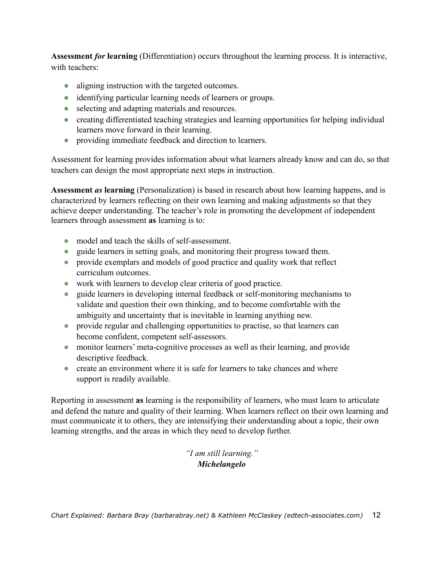**Assessment** *for* **learning** (Differentiation) occurs throughout the learning process. It is interactive, with teachers:

- aligning instruction with the targeted outcomes.
- identifying particular learning needs of learners or groups.
- selecting and adapting materials and resources.
- creating differentiated teaching strategies and learning opportunities for helping individual learners move forward in their learning.
- providing immediate feedback and direction to learners.

Assessment for learning provides information about what learners already know and can do, so that teachers can design the most appropriate next steps in instruction.

**Assessment** *as* **learning** (Personalization) is based in research about how learning happens, and is characterized by learners reflecting on their own learning and making adjustments so that they achieve deeper understanding. The teacher's role in promoting the development of independent learners through assessment **as** learning is to:

- model and teach the skills of self-assessment.
- guide learners in setting goals, and monitoring their progress toward them.
- provide exemplars and models of good practice and quality work that reflect curriculum outcomes.
- ! work with learners to develop clear criteria of good practice.
- guide learners in developing internal feedback or self-monitoring mechanisms to validate and question their own thinking, and to become comfortable with the ambiguity and uncertainty that is inevitable in learning anything new.
- provide regular and challenging opportunities to practise, so that learners can become confident, competent self-assessors.
- monitor learners' meta-cognitive processes as well as their learning, and provide descriptive feedback.
- create an environment where it is safe for learners to take chances and where support is readily available.

Reporting in assessment **as** learning is the responsibility of learners, who must learn to articulate and defend the nature and quality of their learning. When learners reflect on their own learning and must communicate it to others, they are intensifying their understanding about a topic, their own learning strengths, and the areas in which they need to develop further.

> *"I am still learning." Michelangelo*